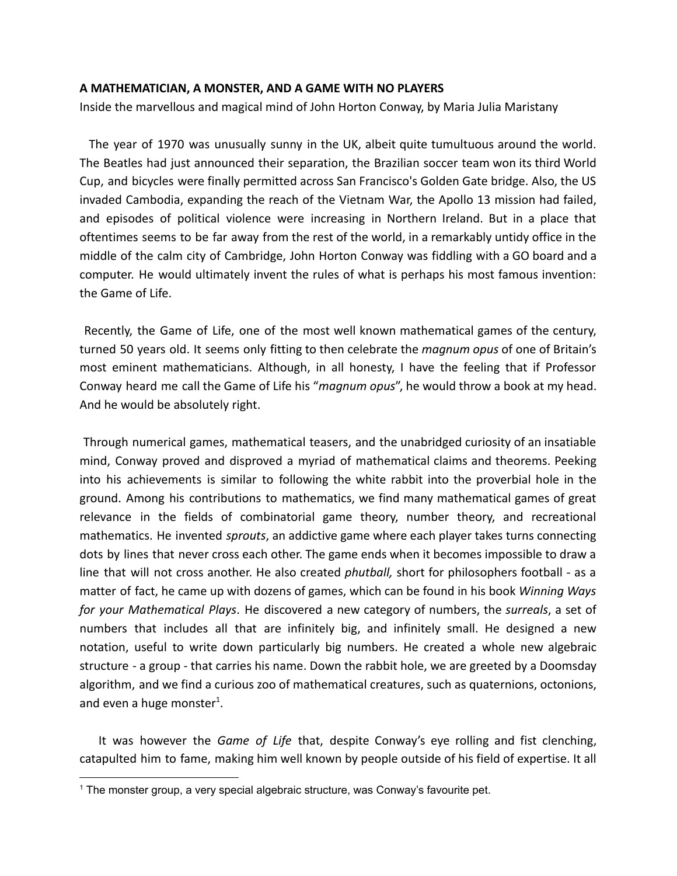## **A MATHEMATICIAN, A MONSTER, AND A GAME WITH NO PLAYERS**

Inside the marvellous and magical mind of John Horton Conway, by Maria Julia Maristany

The year of 1970 was unusually sunny in the UK, albeit quite tumultuous around the world. The Beatles had just announced their separation, the Brazilian soccer team won its third World Cup, and bicycles were finally permitted across San Francisco's Golden Gate bridge. Also, the US invaded Cambodia, expanding the reach of the Vietnam War, the Apollo 13 mission had failed, and episodes of political violence were increasing in Northern Ireland. But in a place that oftentimes seems to be far away from the rest of the world, in a remarkably untidy office in the middle of the calm city of Cambridge, John Horton Conway was fiddling with a GO board and a computer. He would ultimately invent the rules of what is perhaps his most famous invention: the Game of Life.

Recently, the Game of Life, one of the most well known mathematical games of the century, turned 50 years old. It seems only fitting to then celebrate the *magnum opus* of one of Britain's most eminent mathematicians. Although, in all honesty, I have the feeling that if Professor Conway heard me call the Game of Life his "*magnum opus*", he would throw a book at my head. And he would be absolutely right.

Through numerical games, mathematical teasers, and the unabridged curiosity of an insatiable mind, Conway proved and disproved a myriad of mathematical claims and theorems. Peeking into his achievements is similar to following the white rabbit into the proverbial hole in the ground. Among his contributions to mathematics, we find many mathematical games of great relevance in the fields of combinatorial game theory, number theory, and recreational mathematics. He invented *sprouts*, an addictive game where each player takes turns connecting dots by lines that never cross each other. The game ends when it becomes impossible to draw a line that will not cross another. He also created *phutball,* short for philosophers football - as a matter of fact, he came up with dozens of games, which can be found in his book *Winning Ways for your Mathematical Plays*. He discovered a new category of numbers, the *surreals*, a set of numbers that includes all that are infinitely big, and infinitely small. He designed a new notation, useful to write down particularly big numbers. He created a whole new algebraic structure - a group - that carries his name. Down the rabbit hole, we are greeted by a Doomsday algorithm, and we find a curious zoo of mathematical creatures, such as quaternions, octonions, and even a huge monster<sup>1</sup>.

It was however the *Game of Life* that, despite Conway's eye rolling and fist clenching, catapulted him to fame, making him well known by people outside of his field of expertise. It all

 $1$  The monster group, a very special algebraic structure, was Conway's favourite pet.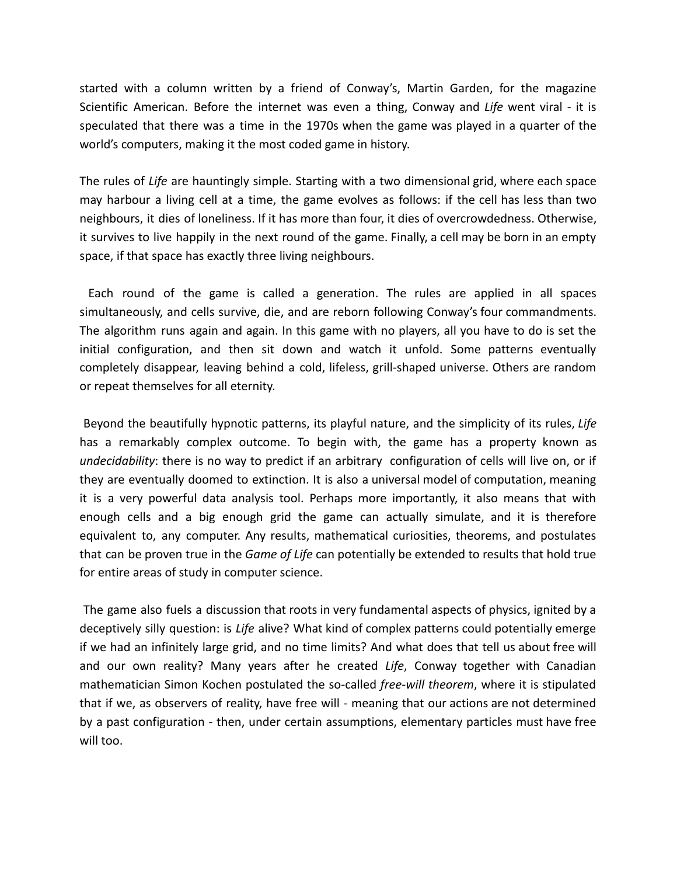started with a column written by a friend of Conway's, Martin Garden, for the magazine Scientific American. Before the internet was even a thing, Conway and *Life* went viral - it is speculated that there was a time in the 1970s when the game was played in a quarter of the world's computers, making it the most coded game in history.

The rules of *Life* are hauntingly simple. Starting with a two dimensional grid, where each space may harbour a living cell at a time, the game evolves as follows: if the cell has less than two neighbours, it dies of loneliness. If it has more than four, it dies of overcrowdedness. Otherwise, it survives to live happily in the next round of the game. Finally, a cell may be born in an empty space, if that space has exactly three living neighbours.

Each round of the game is called a generation. The rules are applied in all spaces simultaneously, and cells survive, die, and are reborn following Conway's four commandments. The algorithm runs again and again. In this game with no players, all you have to do is set the initial configuration, and then sit down and watch it unfold. Some patterns eventually completely disappear, leaving behind a cold, lifeless, grill-shaped universe. Others are random or repeat themselves for all eternity.

Beyond the beautifully hypnotic patterns, its playful nature, and the simplicity of its rules, *Life* has a remarkably complex outcome. To begin with, the game has a property known as *undecidability*: there is no way to predict if an arbitrary configuration of cells will live on, or if they are eventually doomed to extinction. It is also a universal model of computation, meaning it is a very powerful data analysis tool. Perhaps more importantly, it also means that with enough cells and a big enough grid the game can actually simulate, and it is therefore equivalent to, any computer. Any results, mathematical curiosities, theorems, and postulates that can be proven true in the *Game of Life* can potentially be extended to results that hold true for entire areas of study in computer science.

The game also fuels a discussion that roots in very fundamental aspects of physics, ignited by a deceptively silly question: is *Life* alive? What kind of complex patterns could potentially emerge if we had an infinitely large grid, and no time limits? And what does that tell us about free will and our own reality? Many years after he created *Life*, Conway together with Canadian mathematician Simon Kochen postulated the so-called *free-will theorem*, where it is stipulated that if we, as observers of reality, have free will - meaning that our actions are not determined by a past configuration - then, under certain assumptions, elementary particles must have free will too.